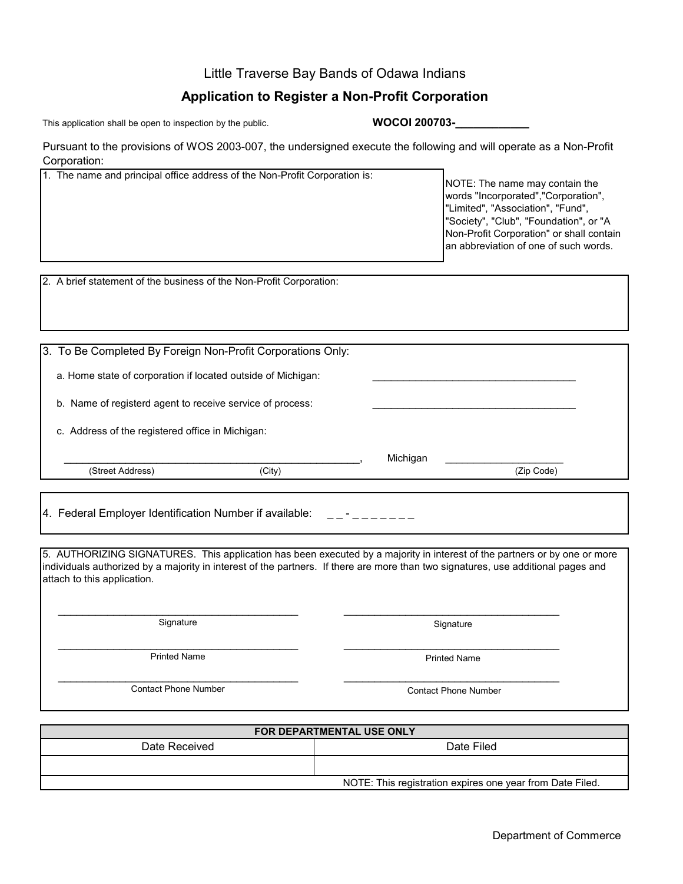## Little Traverse Bay Bands of Odawa Indians

## **Application to Register a Non-Profit Corporation**

This application shall be open to inspection by the public.

**WOCOI 200703-\_\_\_\_\_\_\_\_\_\_\_\_**

Pursuant to the provisions of WOS 2003-007, the undersigned execute the following and will operate as a Non-Profit Corporation:

| 1. The name and principal office address of the Non-Profit Corporation is:                                                                                                                                                                                                                    |                                  |                             | NOTE: The name may contain the<br>words "Incorporated","Corporation",<br>"Limited", "Association", "Fund",<br>"Society", "Club", "Foundation", or "A<br>Non-Profit Corporation" or shall contain<br>an abbreviation of one of such words. |  |
|-----------------------------------------------------------------------------------------------------------------------------------------------------------------------------------------------------------------------------------------------------------------------------------------------|----------------------------------|-----------------------------|-------------------------------------------------------------------------------------------------------------------------------------------------------------------------------------------------------------------------------------------|--|
| 2. A brief statement of the business of the Non-Profit Corporation:                                                                                                                                                                                                                           |                                  |                             |                                                                                                                                                                                                                                           |  |
|                                                                                                                                                                                                                                                                                               |                                  |                             |                                                                                                                                                                                                                                           |  |
| 3. To Be Completed By Foreign Non-Profit Corporations Only:                                                                                                                                                                                                                                   |                                  |                             |                                                                                                                                                                                                                                           |  |
| a. Home state of corporation if located outside of Michigan:                                                                                                                                                                                                                                  |                                  |                             |                                                                                                                                                                                                                                           |  |
| b. Name of registerd agent to receive service of process:                                                                                                                                                                                                                                     |                                  |                             |                                                                                                                                                                                                                                           |  |
| c. Address of the registered office in Michigan:                                                                                                                                                                                                                                              |                                  |                             |                                                                                                                                                                                                                                           |  |
| (Street Address)                                                                                                                                                                                                                                                                              | (City)                           | Michigan                    | (Zip Code)                                                                                                                                                                                                                                |  |
|                                                                                                                                                                                                                                                                                               |                                  |                             |                                                                                                                                                                                                                                           |  |
| 4. Federal Employer Identification Number if available:                                                                                                                                                                                                                                       |                                  |                             |                                                                                                                                                                                                                                           |  |
| 5. AUTHORIZING SIGNATURES. This application has been executed by a majority in interest of the partners or by one or more<br>individuals authorized by a majority in interest of the partners. If there are more than two signatures, use additional pages and<br>attach to this application. |                                  |                             |                                                                                                                                                                                                                                           |  |
| Signature                                                                                                                                                                                                                                                                                     |                                  | Signature                   |                                                                                                                                                                                                                                           |  |
| <b>Printed Name</b>                                                                                                                                                                                                                                                                           |                                  |                             | <b>Printed Name</b>                                                                                                                                                                                                                       |  |
| <b>Contact Phone Number</b>                                                                                                                                                                                                                                                                   |                                  | <b>Contact Phone Number</b> |                                                                                                                                                                                                                                           |  |
|                                                                                                                                                                                                                                                                                               | <b>FOR DEPARTMENTAL USE ONLY</b> |                             |                                                                                                                                                                                                                                           |  |

| T ON DEL ANTIVIENTAL OOL ONL I |                                                           |  |  |  |
|--------------------------------|-----------------------------------------------------------|--|--|--|
| Date Received                  | Date Filed                                                |  |  |  |
|                                |                                                           |  |  |  |
|                                | NOTE: This registration expires one year from Date Filed. |  |  |  |